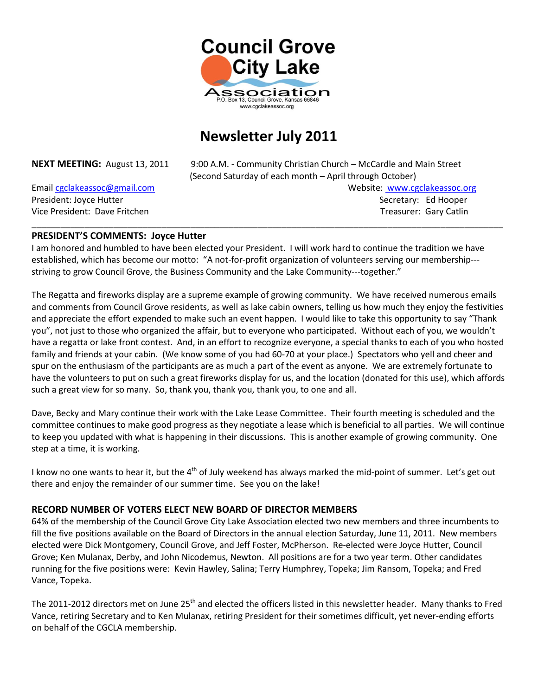

## **Newsletter July 2011**

**NEXT MEETING:** August 13, 2011 9:00 A.M. - Community Christian Church – McCardle and Main Street (Second Saturday of each month – April through October)

Email [cgclakeassoc@gmail.com](mailto:cgclakeassoc@gmail.com) **Website:** Websit[e: www.cgclakeassoc.org](http://:%20%20www.cgclakeassoc.org%0d) President: Joyce Hutter Secretary: Ed Hooper Secretary: Ed Hooper Secretary: Ed Hooper Vice President: Dave Fritchen Treasurer: Gary Catlin Treasurer: Gary Catlin

#### **PRESIDENT'S COMMENTS: Joyce Hutter**

I am honored and humbled to have been elected your President. I will work hard to continue the tradition we have established, which has become our motto: "A not-for-profit organization of volunteers serving our membership-- striving to grow Council Grove, the Business Community and the Lake Community---together."

\_\_\_\_\_\_\_\_\_\_\_\_\_\_\_\_\_\_\_\_\_\_\_\_\_\_\_\_\_\_\_\_\_\_\_\_\_\_\_\_\_\_\_\_\_\_\_\_\_\_\_\_\_\_\_\_\_\_\_\_\_\_\_\_\_\_\_\_\_\_\_\_\_\_\_\_\_\_\_\_\_\_\_\_\_\_\_\_\_\_\_\_\_\_\_\_\_\_

The Regatta and fireworks display are a supreme example of growing community. We have received numerous emails and comments from Council Grove residents, as well as lake cabin owners, telling us how much they enjoy the festivities and appreciate the effort expended to make such an event happen. I would like to take this opportunity to say "Thank you", not just to those who organized the affair, but to everyone who participated. Without each of you, we wouldn't have a regatta or lake front contest. And, in an effort to recognize everyone, a special thanks to each of you who hosted family and friends at your cabin. (We know some of you had 60-70 at your place.) Spectators who yell and cheer and spur on the enthusiasm of the participants are as much a part of the event as anyone. We are extremely fortunate to have the volunteers to put on such a great fireworks display for us, and the location (donated for this use), which affords such a great view for so many. So, thank you, thank you, thank you, to one and all.

Dave, Becky and Mary continue their work with the Lake Lease Committee. Their fourth meeting is scheduled and the committee continues to make good progress as they negotiate a lease which is beneficial to all parties. We will continue to keep you updated with what is happening in their discussions. This is another example of growing community. One step at a time, it is working.

I know no one wants to hear it, but the  $4<sup>th</sup>$  of July weekend has always marked the mid-point of summer. Let's get out there and enjoy the remainder of our summer time. See you on the lake!

#### **RECORD NUMBER OF VOTERS ELECT NEW BOARD OF DIRECTOR MEMBERS**

64% of the membership of the Council Grove City Lake Association elected two new members and three incumbents to fill the five positions available on the Board of Directors in the annual election Saturday, June 11, 2011. New members elected were Dick Montgomery, Council Grove, and Jeff Foster, McPherson. Re-elected were Joyce Hutter, Council Grove; Ken Mulanax, Derby, and John Nicodemus, Newton. All positions are for a two year term. Other candidates running for the five positions were: Kevin Hawley, Salina; Terry Humphrey, Topeka; Jim Ransom, Topeka; and Fred Vance, Topeka.

The 2011-2012 directors met on June 25<sup>th</sup> and elected the officers listed in this newsletter header. Many thanks to Fred Vance, retiring Secretary and to Ken Mulanax, retiring President for their sometimes difficult, yet never-ending efforts on behalf of the CGCLA membership.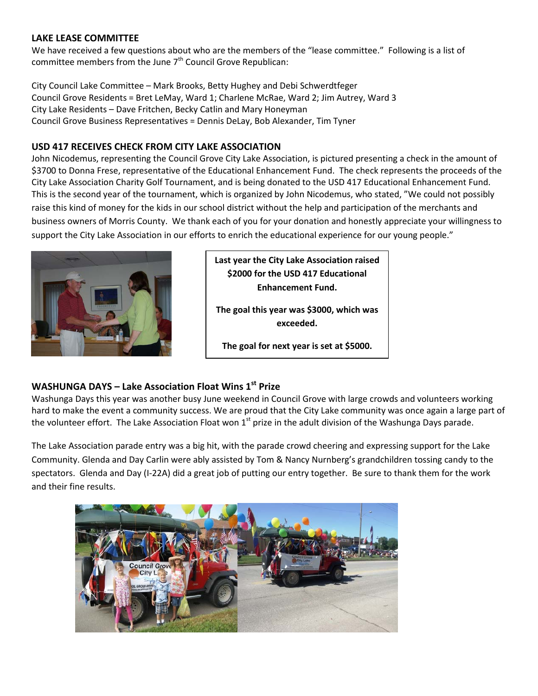#### **LAKE LEASE COMMITTEE**

We have received a few questions about who are the members of the "lease committee." Following is a list of committee members from the June  $7<sup>th</sup>$  Council Grove Republican:

City Council Lake Committee – Mark Brooks, Betty Hughey and Debi Schwerdtfeger Council Grove Residents = Bret LeMay, Ward 1; Charlene McRae, Ward 2; Jim Autrey, Ward 3 City Lake Residents – Dave Fritchen, Becky Catlin and Mary Honeyman Council Grove Business Representatives = Dennis DeLay, Bob Alexander, Tim Tyner

### **USD 417 RECEIVES CHECK FROM CITY LAKE ASSOCIATION**

John Nicodemus, representing the Council Grove City Lake Association, is pictured presenting a check in the amount of \$3700 to Donna Frese, representative of the Educational Enhancement Fund. The check represents the proceeds of the City Lake Association Charity Golf Tournament, and is being donated to the USD 417 Educational Enhancement Fund. This is the second year of the tournament, which is organized by John Nicodemus, who stated, "We could not possibly raise this kind of money for the kids in our school district without the help and participation of the merchants and business owners of Morris County. We thank each of you for your donation and honestly appreciate your willingness to support the City Lake Association in our efforts to enrich the educational experience for our young people."



**Last year the City Lake Association raised \$2000 for the USD 417 Educational Enhancement Fund.**

**The goal this year was \$3000, which was exceeded.**

**The goal for next year is set at \$5000.**

## **WASHUNGA DAYS – Lake Association Float Wins 1st Prize**

Washunga Days this year was another busy June weekend in Council Grove with large crowds and volunteers working hard to make the event a community success. We are proud that the City Lake community was once again a large part of the volunteer effort. The Lake Association Float won  $1<sup>st</sup>$  prize in the adult division of the Washunga Days parade.

The Lake Association parade entry was a big hit, with the parade crowd cheering and expressing support for the Lake Community. Glenda and Day Carlin were ably assisted by Tom & Nancy Nurnberg's grandchildren tossing candy to the spectators. Glenda and Day (I-22A) did a great job of putting our entry together. Be sure to thank them for the work and their fine results.

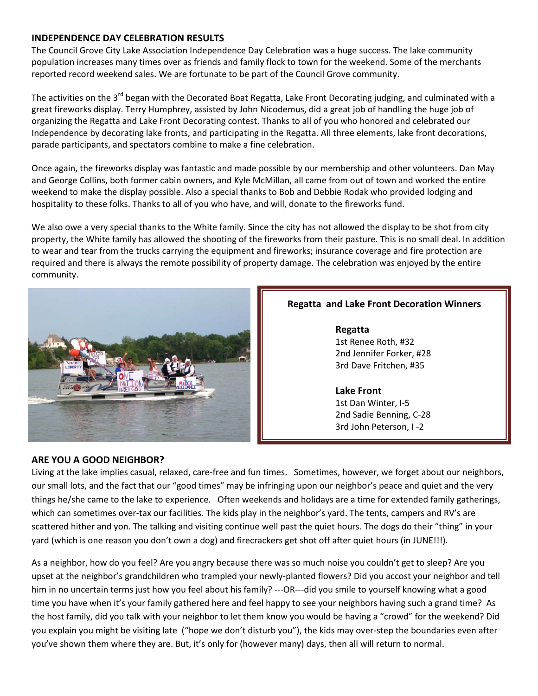#### **INDEPENDENCE DAY CELEBRATION RESULTS**

The Council Grove City Lake Association Independence Day Celebration was a huge success. The lake community population increases many times over as friends and family flock to town for the weekend. Some of the merchants reported record weekend sales. We are fortunate to be part of the Council Grove community.

The activities on the 3<sup>rd</sup> began with the Decorated Boat Regatta, Lake Front Decorating judging, and culminated with a great fireworks display. Terry Humphrey, assisted by John Nicodemus, did a great job of handling the huge job of organizing the Regatta and Lake Front Decorating contest. Thanks to all of you who honored and celebrated our Independence by decorating lake fronts, and participating in the Regatta. All three elements, lake front decorations, parade participants, and spectators combine to make a fine celebration.

Once again, the fireworks display was fantastic and made possible by our membership and other volunteers. Dan May and George Collins, both former cabin owners, and Kyle McMillan, all came from out of town and worked the entire weekend to make the display possible. Also a special thanks to Bob and Debbie Rodak who provided lodging and hospitality to these folks. Thanks to all of you who have, and will, donate to the fireworks fund.

We also owe a very special thanks to the White family. Since the city has not allowed the display to be shot from city property, the White family has allowed the shooting of the fireworks from their pasture. This is no small deal. In addition to wear and tear from the trucks carrying the equipment and fireworks; insurance coverage and fire protection are required and there is always the remote possibility of property damage. The celebration was enjoyed by the entire community.



## **Regatta and Lake Front Decoration Winners**

**Regatta**  1st Renee Roth, #32 2nd Jennifer Forker, #28 3rd Dave Fritchen, #35

#### **Lake Front**

1st Dan Winter, I-5 2nd Sadie Benning, C-28 3rd John Peterson, I -2

#### **ARE YOU A GOOD NEIGHBOR?**

Living at the lake implies casual, relaxed, care-free and fun times. Sometimes, however, we forget about our neighbors, our small lots, and the fact that our "good times" may be infringing upon our neighbor's peace and quiet and the very things he/she came to the lake to experience. Often weekends and holidays are a time for extended family gatherings, which can sometimes over-tax our facilities. The kids play in the neighbor's yard. The tents, campers and RV's are scattered hither and yon. The talking and visiting continue well past the quiet hours. The dogs do their "thing" in your yard (which is one reason you don't own a dog) and firecrackers get shot off after quiet hours (in JUNE!!!).

As a neighbor, how do you feel? Are you angry because there was so much noise you couldn't get to sleep? Are you upset at the neighbor's grandchildren who trampled your newly-planted flowers? Did you accost your neighbor and tell him in no uncertain terms just how you feel about his family? ---OR---did you smile to yourself knowing what a good time you have when it's your family gathered here and feel happy to see your neighbors having such a grand time? As the host family, did you talk with your neighbor to let them know you would be having a "crowd" for the weekend? Did you explain you might be visiting late ("hope we don't disturb you"), the kids may over-step the boundaries even after you've shown them where they are. But, it's only for (however many) days, then all will return to normal.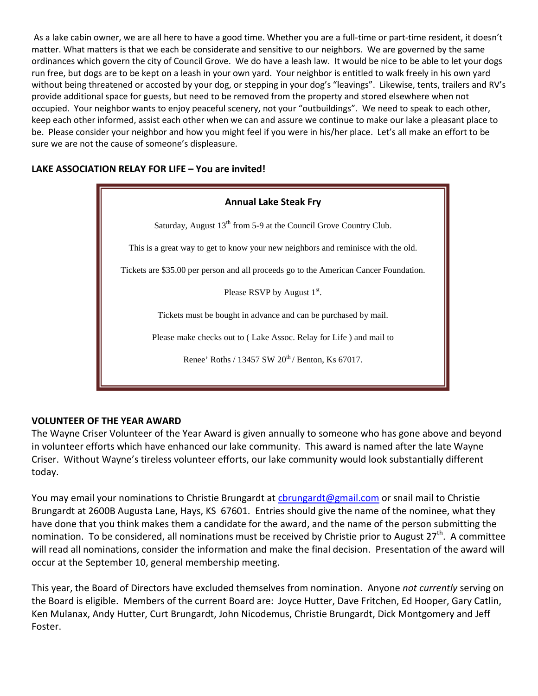As a lake cabin owner, we are all here to have a good time. Whether you are a full-time or part-time resident, it doesn't matter. What matters is that we each be considerate and sensitive to our neighbors. We are governed by the same ordinances which govern the city of Council Grove. We do have a leash law. It would be nice to be able to let your dogs run free, but dogs are to be kept on a leash in your own yard. Your neighbor is entitled to walk freely in his own yard without being threatened or accosted by your dog, or stepping in your dog's "leavings". Likewise, tents, trailers and RV's provide additional space for guests, but need to be removed from the property and stored elsewhere when not occupied. Your neighbor wants to enjoy peaceful scenery, not your "outbuildings". We need to speak to each other, keep each other informed, assist each other when we can and assure we continue to make our lake a pleasant place to be. Please consider your neighbor and how you might feel if you were in his/her place. Let's all make an effort to be sure we are not the cause of someone's displeasure.

## **LAKE ASSOCIATION RELAY FOR LIFE – You are invited!**



## **VOLUNTEER OF THE YEAR AWARD**

The Wayne Criser Volunteer of the Year Award is given annually to someone who has gone above and beyond in volunteer efforts which have enhanced our lake community. This award is named after the late Wayne Criser. Without Wayne's tireless volunteer efforts, our lake community would look substantially different today.

You may email your nominations to Christie Brungardt at [cbrungardt@gmail.com](mailto:cbrungardt@gmail.com) or snail mail to Christie Brungardt at 2600B Augusta Lane, Hays, KS 67601. Entries should give the name of the nominee, what they have done that you think makes them a candidate for the award, and the name of the person submitting the nomination. To be considered, all nominations must be received by Christie prior to August 27<sup>th</sup>. A committee will read all nominations, consider the information and make the final decision. Presentation of the award will occur at the September 10, general membership meeting.

This year, the Board of Directors have excluded themselves from nomination. Anyone *not currently* serving on the Board is eligible. Members of the current Board are: Joyce Hutter, Dave Fritchen, Ed Hooper, Gary Catlin, Ken Mulanax, Andy Hutter, Curt Brungardt, John Nicodemus, Christie Brungardt, Dick Montgomery and Jeff Foster.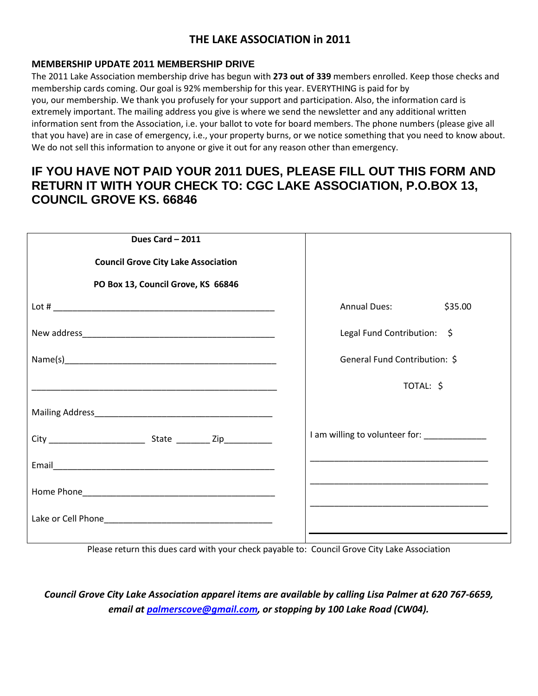## **THE LAKE ASSOCIATION in 2011**

#### **MEMBERSHIP UPDATE 2011 MEMBERSHIP DRIVE**

The 2011 Lake Association membership drive has begun with **273 out of 339** members enrolled. Keep those checks and membership cards coming. Our goal is 92% membership for this year. EVERYTHING is paid for by you, our membership. We thank you profusely for your support and participation. Also, the information card is extremely important. The mailing address you give is where we send the newsletter and any additional written information sent from the Association, i.e. your ballot to vote for board members. The phone numbers (please give all that you have) are in case of emergency, i.e., your property burns, or we notice something that you need to know about. We do not sell this information to anyone or give it out for any reason other than emergency.

## **IF YOU HAVE NOT PAID YOUR 2011 DUES, PLEASE FILL OUT THIS FORM AND RETURN IT WITH YOUR CHECK TO: CGC LAKE ASSOCIATION, P.O.BOX 13, COUNCIL GROVE KS. 66846**

| Dues Card - 2011                           |                                              |
|--------------------------------------------|----------------------------------------------|
| <b>Council Grove City Lake Association</b> |                                              |
| PO Box 13, Council Grove, KS 66846         |                                              |
|                                            | <b>Annual Dues:</b><br>\$35.00               |
|                                            | Legal Fund Contribution: \$                  |
|                                            | General Fund Contribution: \$                |
|                                            | TOTAL: \$                                    |
|                                            |                                              |
|                                            | I am willing to volunteer for: _____________ |
|                                            |                                              |
|                                            |                                              |
|                                            |                                              |
|                                            |                                              |

Please return this dues card with your check payable to: Council Grove City Lake Association

*Council Grove City Lake Association apparel items are available by calling Lisa Palmer at 620 767-6659, email at [palmerscove@gmail.com,](mailto:palmerscove@gmail.com) or stopping by 100 Lake Road (CW04).*